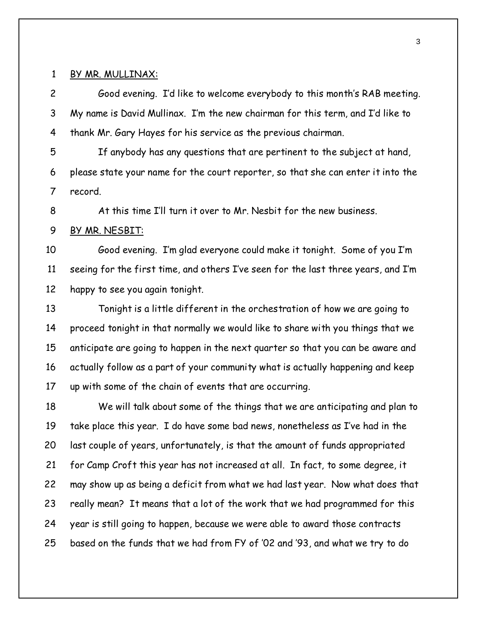### 1 BY MR. MULLINAX:

2 Good evening. I'd like to welcome everybody to this month's RAB meeting. 3 My name is David Mullinax. I'm the new chairman for this term, and I'd like to 4 thank Mr. Gary Hayes for his service as the previous chairman.

5 If anybody has any questions that are pertinent to the subject at hand, 6 please state your name for the court reporter, so that she can enter it into the 7 record.

8 At this time I'll turn it over to Mr. Nesbit for the new business.

9 BY MR. NESBIT:

10 Good evening. I'm glad everyone could make it tonight. Some of you I'm 11 seeing for the first time, and others I've seen for the last three years, and I'm 12 happy to see you again tonight.

13 Tonight is a little different in the orchestration of how we are going to 14 proceed tonight in that normally we would like to share with you things that we 15 anticipate are going to happen in the next quarter so that you can be aware and 16 actually follow as a part of your community what is actually happening and keep 17 up with some of the chain of events that are occurring.

18 We will talk about some of the things that we are anticipating and plan to 19 take place this year. I do have some bad news, nonetheless as I've had in the 20 last couple of years, unfortunately, is that the amount of funds appropriated 21 for Camp Croft this year has not increased at all. In fact, to some degree, it 22 may show up as being a deficit from what we had last year. Now what does that 23 really mean? It means that a lot of the work that we had programmed for this 24 year is still going to happen, because we were able to award those contracts 25 based on the funds that we had from FY of '02 and '93, and what we try to do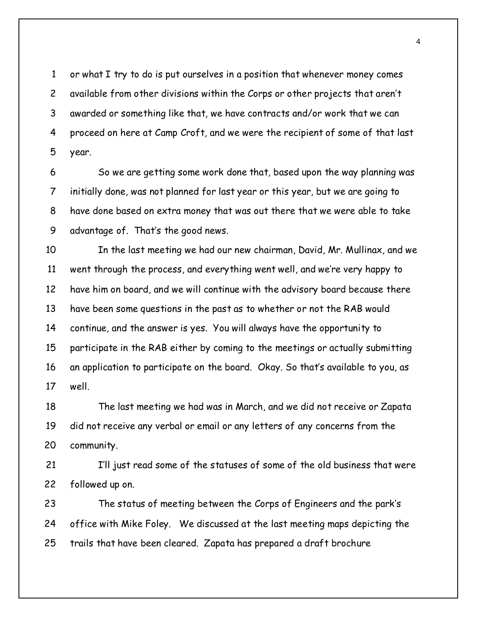1 or what I try to do is put ourselves in a position that whenever money comes 2 available from other divisions within the Corps or other projects that aren't 3 awarded or something like that, we have contracts and/or work that we can 4 proceed on here at Camp Croft, and we were the recipient of some of that last 5 year.

6 So we are getting some work done that, based upon the way planning was 7 initially done, was not planned for last year or this year, but we are going to 8 have done based on extra money that was out there that we were able to take 9 advantage of. That's the good news.

10 In the last meeting we had our new chairman, David, Mr. Mullinax, and we 11 went through the process, and everything went well, and we're very happy to 12 have him on board, and we will continue with the advisory board because there 13 have been some questions in the past as to whether or not the RAB would 14 continue, and the answer is yes. You will always have the opportunity to 15 participate in the RAB either by coming to the meetings or actually submitting 16 an application to participate on the board. Okay. So that's available to you, as 17 well.

18 The last meeting we had was in March, and we did not receive or Zapata 19 did not receive any verbal or email or any letters of any concerns from the 20 community.

21 I'll just read some of the statuses of some of the old business that were 22 followed up on.

23 The status of meeting between the Corps of Engineers and the park's 24 office with Mike Foley. We discussed at the last meeting maps depicting the 25 trails that have been cleared. Zapata has prepared a draft brochure

4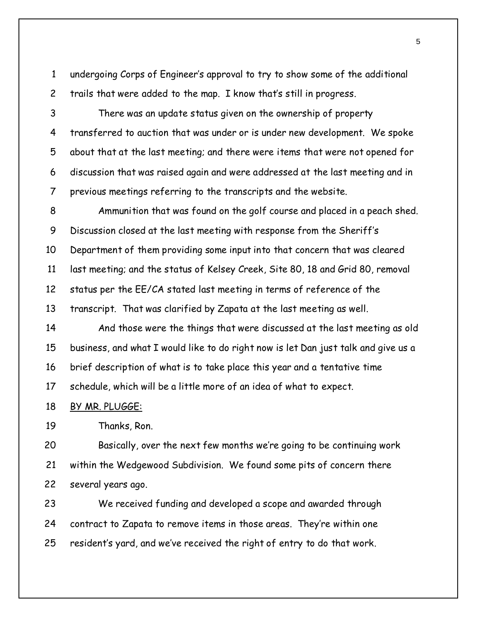1 undergoing Corps of Engineer's approval to try to show some of the additional 2 trails that were added to the map. I know that's still in progress.

3 There was an update status given on the ownership of property 4 transferred to auction that was under or is under new development. We spoke 5 about that at the last meeting; and there were items that were not opened for 6 discussion that was raised again and were addressed at the last meeting and in 7 previous meetings referring to the transcripts and the website.

8 Ammunition that was found on the golf course and placed in a peach shed. 9 Discussion closed at the last meeting with response from the Sheriff's 10 Department of them providing some input into that concern that was cleared 11 last meeting; and the status of Kelsey Creek, Site 80, 18 and Grid 80, removal 12 status per the EE/CA stated last meeting in terms of reference of the 13 transcript. That was clarified by Zapata at the last meeting as well.

14 And those were the things that were discussed at the last meeting as old 15 business, and what I would like to do right now is let Dan just talk and give us a 16 brief description of what is to take place this year and a tentative time 17 schedule, which will be a little more of an idea of what to expect.

18 BY MR. PLUGGE:

19 Thanks, Ron.

20 Basically, over the next few months we're going to be continuing work 21 within the Wedgewood Subdivision. We found some pits of concern there 22 several years ago.

23 We received funding and developed a scope and awarded through 24 contract to Zapata to remove items in those areas. They're within one 25 resident's yard, and we've received the right of entry to do that work.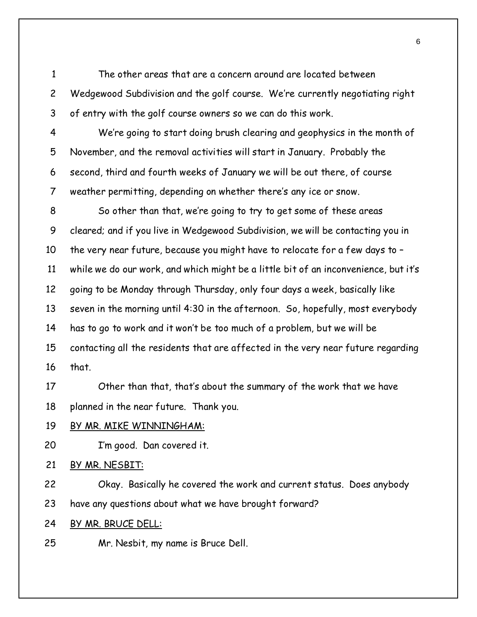1 The other areas that are a concern around are located between 2 Wedgewood Subdivision and the golf course. We're currently negotiating right 3 of entry with the golf course owners so we can do this work.

4 We're going to start doing brush clearing and geophysics in the month of 5 November, and the removal activities will start in January. Probably the 6 second, third and fourth weeks of January we will be out there, of course 7 weather permitting, depending on whether there's any ice or snow.

8 So other than that, we're going to try to get some of these areas 9 cleared; and if you live in Wedgewood Subdivision, we will be contacting you in 10 the very near future, because you might have to relocate for a few days to – 11 while we do our work, and which might be a little bit of an inconvenience, but it's 12 going to be Monday through Thursday, only four days a week, basically like 13 seven in the morning until 4:30 in the afternoon. So, hopefully, most everybody 14 has to go to work and it won't be too much of a problem, but we will be 15 contacting all the residents that are affected in the very near future regarding 16 that.

17 Other than that, that's about the summary of the work that we have 18 planned in the near future. Thank you.

### 19 BY MR. MIKE WINNINGHAM:

20 I'm good. Dan covered it.

### 21 BY MR. NESBIT:

22 Okay. Basically he covered the work and current status. Does anybody 23 have any questions about what we have brought forward?

- 24 BY MR. BRUCE DELL:
- 25 Mr. Nesbit, my name is Bruce Dell.

6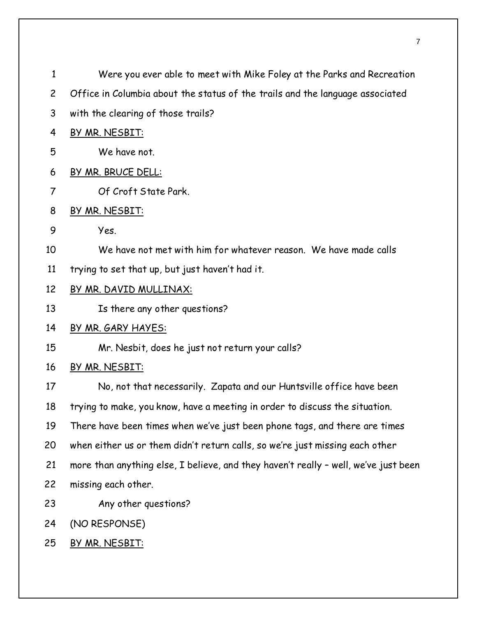| $\mathbf{1}$   | Were you ever able to meet with Mike Foley at the Parks and Recreation              |
|----------------|-------------------------------------------------------------------------------------|
| $\overline{c}$ | Office in Columbia about the status of the trails and the language associated       |
| 3              | with the clearing of those trails?                                                  |
| 4              | BY MR. NESBIT:                                                                      |
| 5              | We have not.                                                                        |
| 6              | BY MR. BRUCE DELL:                                                                  |
| 7              | Of Croft State Park.                                                                |
| 8              | BY MR. NESBIT:                                                                      |
| 9              | Yes.                                                                                |
| 10             | We have not met with him for whatever reason. We have made calls                    |
| 11             | trying to set that up, but just haven't had it.                                     |
| 12             | <u>BY MR. DAVID MULLINAX:</u>                                                       |
| 13             | Is there any other questions?                                                       |
| 14             | <u>BY MR. GARY HAYES:</u>                                                           |
| 15             | Mr. Nesbit, does he just not return your calls?                                     |
| 16             | BY MR. NESBIT:                                                                      |
| 17             | No, not that necessarily. Zapata and our Huntsville office have been                |
| 18             | trying to make, you know, have a meeting in order to discuss the situation.         |
| 19             | There have been times when we've just been phone tags, and there are times          |
| 20             | when either us or them didn't return calls, so we're just missing each other        |
| 21             | more than anything else, I believe, and they haven't really - well, we've just been |
| 22             | missing each other.                                                                 |
| 23             | Any other questions?                                                                |
| 24             | (NO RESPONSE)                                                                       |
| 25             | BY MR. NESBIT:                                                                      |
|                |                                                                                     |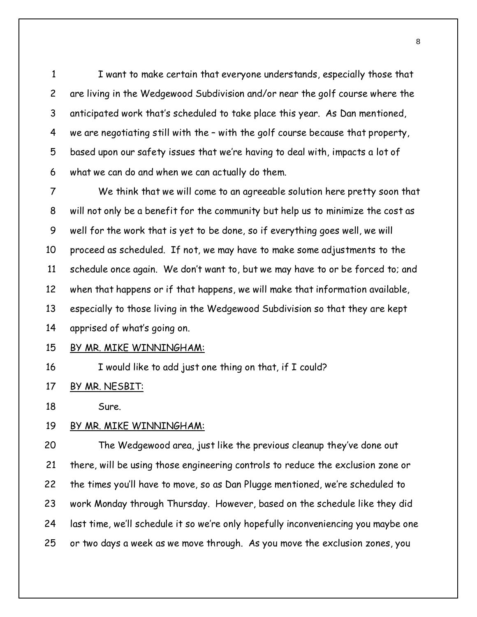1 I want to make certain that everyone understands, especially those that 2 are living in the Wedgewood Subdivision and/or near the golf course where the 3 anticipated work that's scheduled to take place this year. As Dan mentioned, 4 we are negotiating still with the – with the golf course because that property, 5 based upon our safety issues that we're having to deal with, impacts a lot of 6 what we can do and when we can actually do them.

7 We think that we will come to an agreeable solution here pretty soon that 8 will not only be a benefit for the community but help us to minimize the cost as 9 well for the work that is yet to be done, so if everything goes well, we will 10 proceed as scheduled. If not, we may have to make some adjustments to the 11 schedule once again. We don't want to, but we may have to or be forced to; and 12 when that happens or if that happens, we will make that information available, 13 especially to those living in the Wedgewood Subdivision so that they are kept 14 apprised of what's going on.

#### 15 BY MR. MIKE WINNINGHAM:

16 I would like to add just one thing on that, if I could?

17 BY MR. NESBIT:

18 Sure.

#### 19 BY MR. MIKE WINNINGHAM:

20 The Wedgewood area, just like the previous cleanup they've done out 21 there, will be using those engineering controls to reduce the exclusion zone or 22 the times you'll have to move, so as Dan Plugge mentioned, we're scheduled to 23 work Monday through Thursday. However, based on the schedule like they did 24 last time, we'll schedule it so we're only hopefully inconveniencing you maybe one 25 or two days a week as we move through. As you move the exclusion zones, you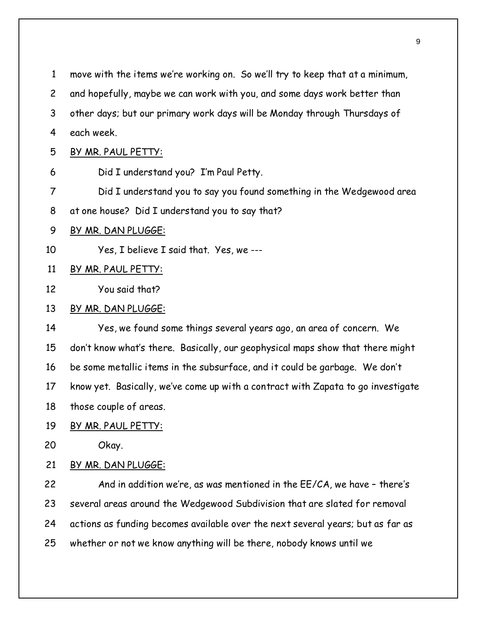| $\mathbf{1}$   | move with the items we're working on. So we'll try to keep that at a minimum,    |
|----------------|----------------------------------------------------------------------------------|
| $\overline{c}$ | and hopefully, maybe we can work with you, and some days work better than        |
| 3              | other days; but our primary work days will be Monday through Thursdays of        |
| 4              | each week.                                                                       |
| 5              | BY MR. PAUL PETTY:                                                               |
| 6              | Did I understand you? I'm Paul Petty.                                            |
| $\overline{7}$ | Did I understand you to say you found something in the Wedgewood area            |
| 8              | at one house? Did I understand you to say that?                                  |
| 9              | BY MR. DAN PLUGGE:                                                               |
| 10             | Yes, I believe I said that. Yes, we ---                                          |
| 11             | BY MR. PAUL PETTY:                                                               |
| 12             | You said that?                                                                   |
| 13             | BY MR. DAN PLUGGE:                                                               |
| 14             | Yes, we found some things several years ago, an area of concern. We              |
| 15             | don't know what's there. Basically, our geophysical maps show that there might   |
| 16             | be some metallic items in the subsurface, and it could be garbage. We don't      |
| 17             | know yet. Basically, we've come up with a contract with Zapata to go investigate |
| 18             | those couple of areas.                                                           |
| 19             | <u>BY MR. PAUL PETTY:</u>                                                        |
| 20             | Okay.                                                                            |
| 21             | BY MR. DAN PLUGGE:                                                               |
| 22             | And in addition we're, as was mentioned in the EE/CA, we have - there's          |
| 23             | several areas around the Wedgewood Subdivision that are slated for removal       |
| 24             | actions as funding becomes available over the next several years; but as far as  |
| 25             | whether or not we know anything will be there, nobody knows until we             |
|                |                                                                                  |
|                |                                                                                  |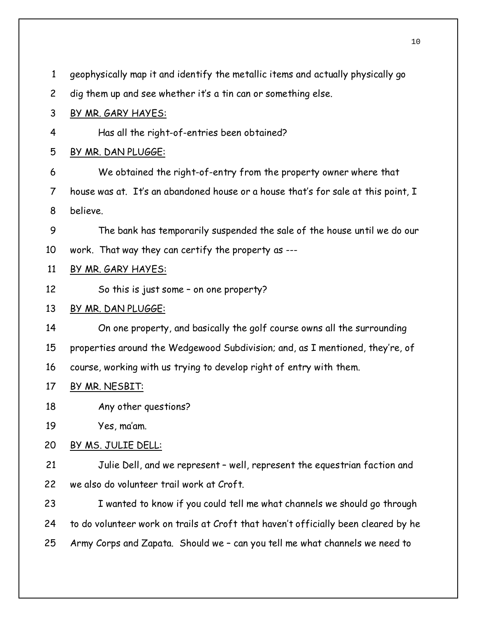| $\mathbf{1}$   | geophysically map it and identify the metallic items and actually physically go    |
|----------------|------------------------------------------------------------------------------------|
| $\overline{c}$ | dig them up and see whether it's a tin can or something else.                      |
| 3              | <u>BY MR. GARY HAYES:</u>                                                          |
| 4              | Has all the right-of-entries been obtained?                                        |
| 5              | BY MR. DAN PLUGGE:                                                                 |
| 6              | We obtained the right-of-entry from the property owner where that                  |
| 7              | house was at. It's an abandoned house or a house that's for sale at this point, I  |
| 8              | believe.                                                                           |
| 9              | The bank has temporarily suspended the sale of the house until we do our           |
| 10             | work. That way they can certify the property as ---                                |
| 11             | BY MR. GARY HAYES:                                                                 |
| 12             | So this is just some - on one property?                                            |
| 13             | BY MR. DAN PLUGGE:                                                                 |
| 14             | On one property, and basically the golf course owns all the surrounding            |
| 15             | properties around the Wedgewood Subdivision; and, as I mentioned, they're, of      |
| 16             | course, working with us trying to develop right of entry with them.                |
| 17             | BY MR. NESBIT:                                                                     |
| 18             | Any other questions?                                                               |
| 19             | Yes, ma'am.                                                                        |
| 20             | BY MS. JULIE DELL:                                                                 |
| 21             | Julie Dell, and we represent - well, represent the equestrian faction and          |
| 22             | we also do volunteer trail work at Croft.                                          |
| 23             | I wanted to know if you could tell me what channels we should go through           |
| 24             | to do volunteer work on trails at Croft that haven't officially been cleared by he |
| 25             | Army Corps and Zapata. Should we - can you tell me what channels we need to        |
|                |                                                                                    |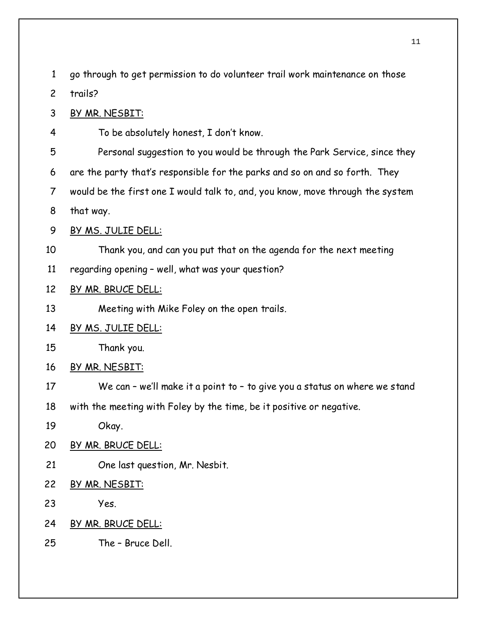1 go through to get permission to do volunteer trail work maintenance on those

2 trails?

3 BY MR. NESBIT:

4 To be absolutely honest, I don't know.

5 Personal suggestion to you would be through the Park Service, since they

6 are the party that's responsible for the parks and so on and so forth. They

7 would be the first one I would talk to, and, you know, move through the system

8 that way.

# 9 BY MS. JULIE DELL:

10 Thank you, and can you put that on the agenda for the next meeting

11 regarding opening – well, what was your question?

# 12 BY MR. BRUCE DELL:

13 Meeting with Mike Foley on the open trails.

# 14 BY MS. JULIE DELL:

15 Thank you.

- 16 BY MR. NESBIT:
- 17 We can we'll make it a point to to give you a status on where we stand
- 18 with the meeting with Foley by the time, be it positive or negative.
- 19 Okay.
- 20 BY MR. BRUCE DELL:
- 21 One last question, Mr. Nesbit.
- 22 BY MR. NESBIT:
- 23 Yes.
- 24 BY MR. BRUCE DELL:
- 25 The Bruce Dell.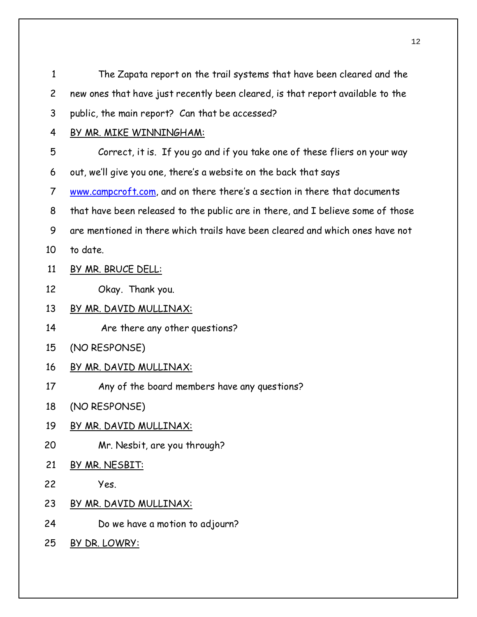| $\mathbf{1}$   | The Zapata report on the trail systems that have been cleared and the           |
|----------------|---------------------------------------------------------------------------------|
| $\overline{c}$ | new ones that have just recently been cleared, is that report available to the  |
| 3              | public, the main report? Can that be accessed?                                  |
| 4              | BY MR. MIKE WINNINGHAM:                                                         |
| 5              | Correct, it is. If you go and if you take one of these fliers on your way       |
| 6              | out, we'll give you one, there's a website on the back that says                |
| $\overline{7}$ | www.campcroft.com, and on there there's a section in there that documents       |
| 8              | that have been released to the public are in there, and I believe some of those |
| 9              | are mentioned in there which trails have been cleared and which ones have not   |
| 10             | to date.                                                                        |
| 11             | BY MR. BRUCE DELL:                                                              |
| 12             | Okay. Thank you.                                                                |
| 13             | BY MR. DAVID MULLINAX:                                                          |
| 14             | Are there any other questions?                                                  |
| 15             | (NO RESPONSE)                                                                   |
| 16             | <u>BY MR. DAVID MULLINAX:</u>                                                   |
| 17             | Any of the board members have any questions?                                    |
| 18             | (NO RESPONSE)                                                                   |
| 19             | BY MR. DAVID MULLINAX:                                                          |
| 20             | Mr. Nesbit, are you through?                                                    |
| 21             | BY MR. NESBIT:                                                                  |
| 22             | Yes.                                                                            |
| 23             | BY MR. DAVID MULLINAX:                                                          |
| 24             | Do we have a motion to adjourn?                                                 |
| 25             | BY DR. LOWRY:                                                                   |
|                |                                                                                 |